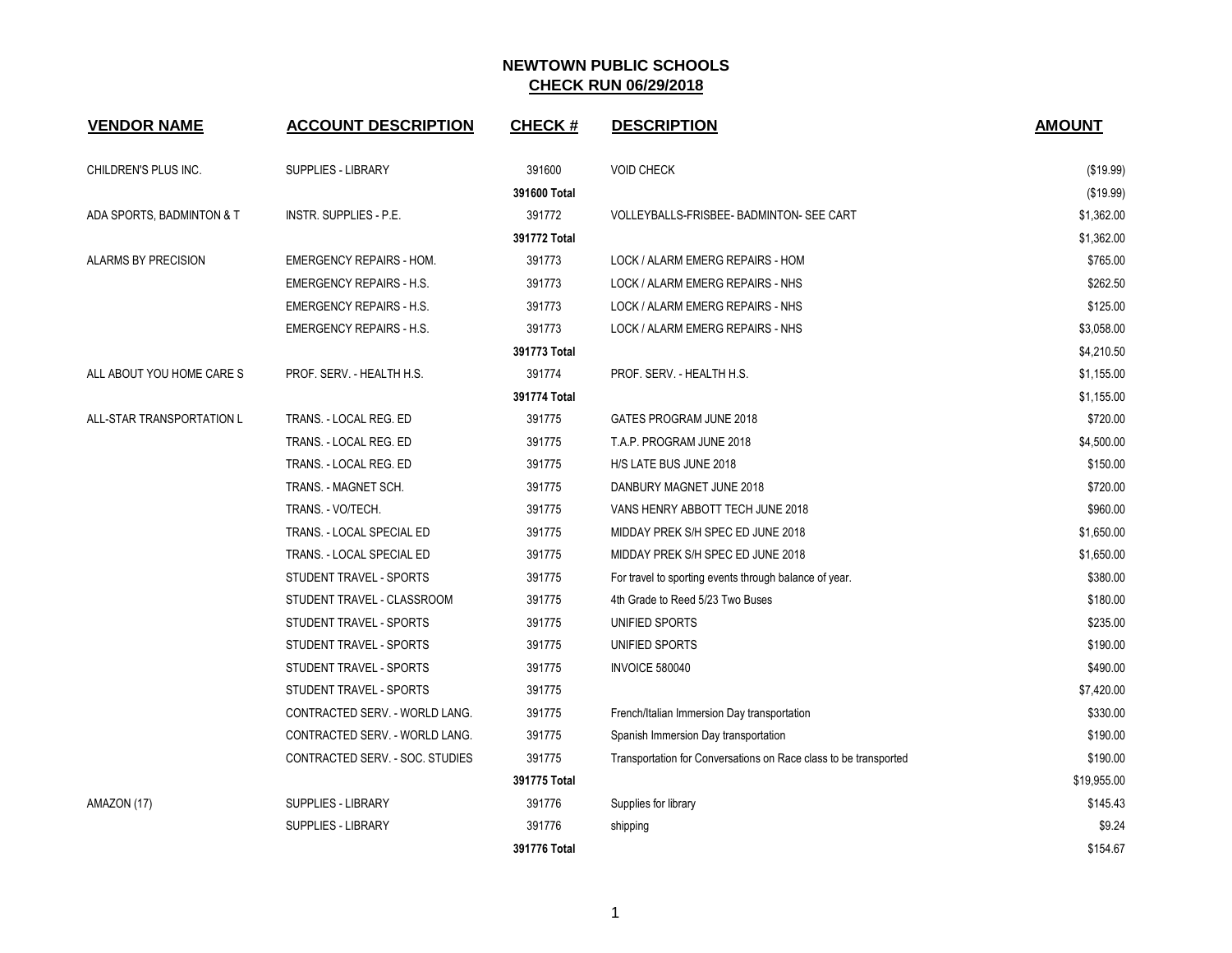| <b>VENDOR NAME</b>         | <b>ACCOUNT DESCRIPTION</b>      | <b>CHECK#</b> | <b>DESCRIPTION</b>                                               | <b>AMOUNT</b> |
|----------------------------|---------------------------------|---------------|------------------------------------------------------------------|---------------|
| CHILDREN'S PLUS INC.       | <b>SUPPLIES - LIBRARY</b>       | 391600        | <b>VOID CHECK</b>                                                | (\$19.99)     |
|                            |                                 | 391600 Total  |                                                                  | (\$19.99)     |
| ADA SPORTS, BADMINTON & T  | INSTR. SUPPLIES - P.E.          | 391772        | VOLLEYBALLS-FRISBEE- BADMINTON- SEE CART                         | \$1,362.00    |
|                            |                                 | 391772 Total  |                                                                  | \$1,362.00    |
| <b>ALARMS BY PRECISION</b> | <b>EMERGENCY REPAIRS - HOM.</b> | 391773        | LOCK / ALARM EMERG REPAIRS - HOM                                 | \$765.00      |
|                            | <b>EMERGENCY REPAIRS - H.S.</b> | 391773        | LOCK / ALARM EMERG REPAIRS - NHS                                 | \$262.50      |
|                            | <b>EMERGENCY REPAIRS - H.S.</b> | 391773        | LOCK / ALARM EMERG REPAIRS - NHS                                 | \$125.00      |
|                            | <b>EMERGENCY REPAIRS - H.S.</b> | 391773        | LOCK / ALARM EMERG REPAIRS - NHS                                 | \$3,058.00    |
|                            |                                 | 391773 Total  |                                                                  | \$4,210.50    |
| ALL ABOUT YOU HOME CARE S  | PROF. SERV. - HEALTH H.S.       | 391774        | PROF. SERV. - HEALTH H.S.                                        | \$1,155.00    |
|                            |                                 | 391774 Total  |                                                                  | \$1,155.00    |
| ALL-STAR TRANSPORTATION L  | TRANS. - LOCAL REG. ED          | 391775        | GATES PROGRAM JUNE 2018                                          | \$720.00      |
|                            | TRANS. - LOCAL REG. ED          | 391775        | T.A.P. PROGRAM JUNE 2018                                         | \$4,500.00    |
|                            | TRANS. - LOCAL REG. ED          | 391775        | H/S LATE BUS JUNE 2018                                           | \$150.00      |
|                            | TRANS. - MAGNET SCH.            | 391775        | DANBURY MAGNET JUNE 2018                                         | \$720.00      |
|                            | TRANS. - VO/TECH.               | 391775        | VANS HENRY ABBOTT TECH JUNE 2018                                 | \$960.00      |
|                            | TRANS. - LOCAL SPECIAL ED       | 391775        | MIDDAY PREK S/H SPEC ED JUNE 2018                                | \$1,650.00    |
|                            | TRANS. - LOCAL SPECIAL ED       | 391775        | MIDDAY PREK S/H SPEC ED JUNE 2018                                | \$1,650.00    |
|                            | <b>STUDENT TRAVEL - SPORTS</b>  | 391775        | For travel to sporting events through balance of year.           | \$380.00      |
|                            | STUDENT TRAVEL - CLASSROOM      | 391775        | 4th Grade to Reed 5/23 Two Buses                                 | \$180.00      |
|                            | STUDENT TRAVEL - SPORTS         | 391775        | UNIFIED SPORTS                                                   | \$235.00      |
|                            | STUDENT TRAVEL - SPORTS         | 391775        | UNIFIED SPORTS                                                   | \$190.00      |
|                            | STUDENT TRAVEL - SPORTS         | 391775        | <b>INVOICE 580040</b>                                            | \$490.00      |
|                            | STUDENT TRAVEL - SPORTS         | 391775        |                                                                  | \$7,420.00    |
|                            | CONTRACTED SERV. - WORLD LANG.  | 391775        | French/Italian Immersion Day transportation                      | \$330.00      |
|                            | CONTRACTED SERV. - WORLD LANG.  | 391775        | Spanish Immersion Day transportation                             | \$190.00      |
|                            | CONTRACTED SERV. - SOC. STUDIES | 391775        | Transportation for Conversations on Race class to be transported | \$190.00      |
|                            |                                 | 391775 Total  |                                                                  | \$19,955.00   |
| AMAZON (17)                | <b>SUPPLIES - LIBRARY</b>       | 391776        | Supplies for library                                             | \$145.43      |
|                            | SUPPLIES - LIBRARY              | 391776        | shipping                                                         | \$9.24        |
|                            |                                 | 391776 Total  |                                                                  | \$154.67      |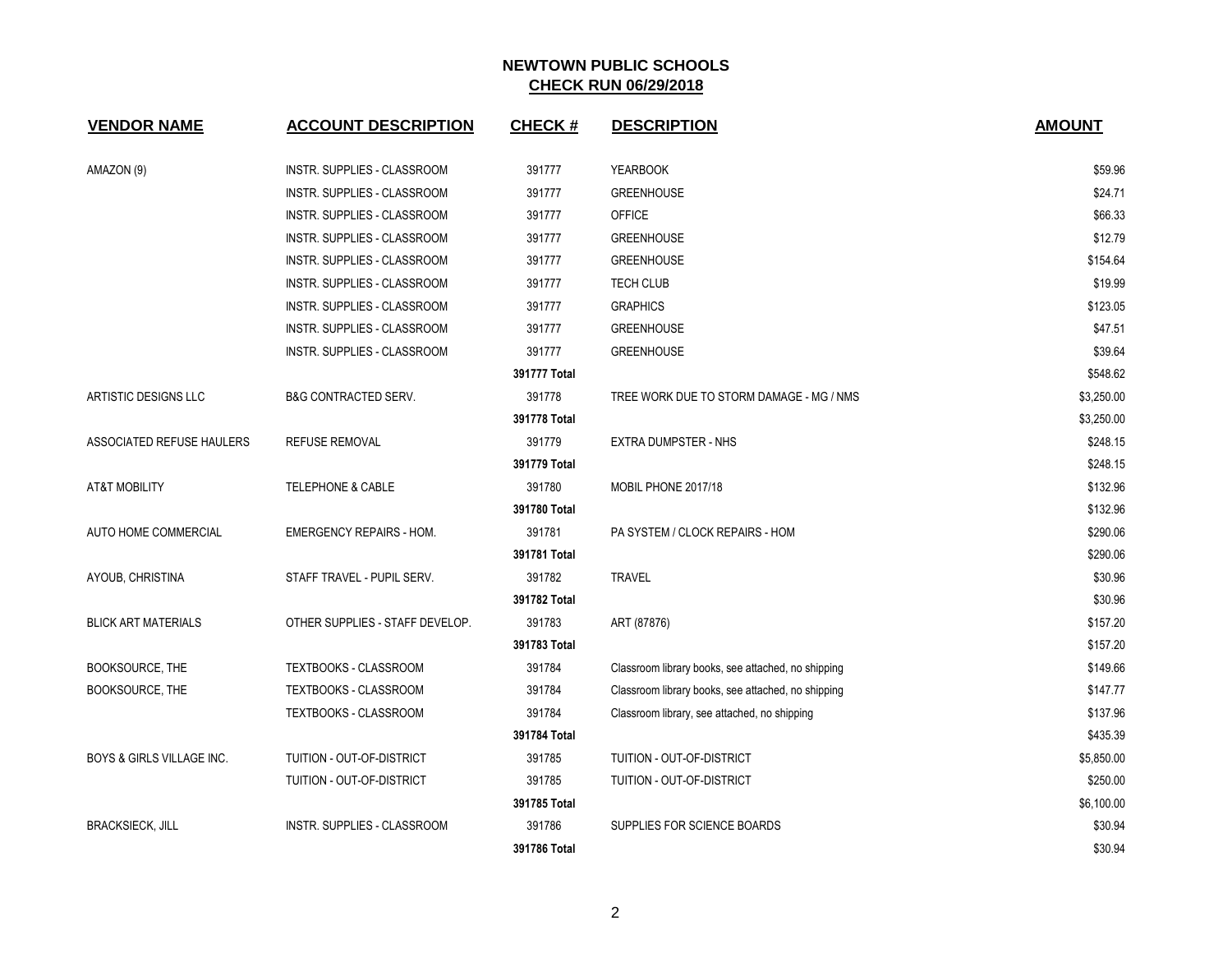| <b>VENDOR NAME</b>                   | <b>ACCOUNT DESCRIPTION</b>      | <b>CHECK#</b> | <b>DESCRIPTION</b>                                 | <b>AMOUNT</b> |
|--------------------------------------|---------------------------------|---------------|----------------------------------------------------|---------------|
| AMAZON (9)                           | INSTR. SUPPLIES - CLASSROOM     | 391777        | <b>YEARBOOK</b>                                    | \$59.96       |
|                                      | INSTR. SUPPLIES - CLASSROOM     | 391777        | <b>GREENHOUSE</b>                                  | \$24.71       |
|                                      | INSTR. SUPPLIES - CLASSROOM     | 391777        | <b>OFFICE</b>                                      | \$66.33       |
|                                      | INSTR. SUPPLIES - CLASSROOM     | 391777        | <b>GREENHOUSE</b>                                  | \$12.79       |
|                                      | INSTR. SUPPLIES - CLASSROOM     | 391777        | <b>GREENHOUSE</b>                                  | \$154.64      |
|                                      | INSTR. SUPPLIES - CLASSROOM     | 391777        | <b>TECH CLUB</b>                                   | \$19.99       |
|                                      | INSTR. SUPPLIES - CLASSROOM     | 391777        | <b>GRAPHICS</b>                                    | \$123.05      |
|                                      | INSTR. SUPPLIES - CLASSROOM     | 391777        | <b>GREENHOUSE</b>                                  | \$47.51       |
|                                      | INSTR. SUPPLIES - CLASSROOM     | 391777        | <b>GREENHOUSE</b>                                  | \$39.64       |
|                                      |                                 | 391777 Total  |                                                    | \$548.62      |
| ARTISTIC DESIGNS LLC                 | <b>B&amp;G CONTRACTED SERV.</b> | 391778        | TREE WORK DUE TO STORM DAMAGE - MG / NMS           | \$3,250.00    |
|                                      |                                 | 391778 Total  |                                                    | \$3,250.00    |
| ASSOCIATED REFUSE HAULERS            | <b>REFUSE REMOVAL</b>           | 391779        | <b>EXTRA DUMPSTER - NHS</b>                        | \$248.15      |
|                                      |                                 | 391779 Total  |                                                    | \$248.15      |
| AT&T MOBILITY                        | <b>TELEPHONE &amp; CABLE</b>    | 391780        | MOBIL PHONE 2017/18                                | \$132.96      |
|                                      |                                 | 391780 Total  |                                                    | \$132.96      |
| AUTO HOME COMMERCIAL                 | <b>EMERGENCY REPAIRS - HOM.</b> | 391781        | PA SYSTEM / CLOCK REPAIRS - HOM                    | \$290.06      |
|                                      |                                 | 391781 Total  |                                                    | \$290.06      |
| AYOUB, CHRISTINA                     | STAFF TRAVEL - PUPIL SERV.      | 391782        | <b>TRAVEL</b>                                      | \$30.96       |
|                                      |                                 | 391782 Total  |                                                    | \$30.96       |
| <b>BLICK ART MATERIALS</b>           | OTHER SUPPLIES - STAFF DEVELOP. | 391783        | ART (87876)                                        | \$157.20      |
|                                      |                                 | 391783 Total  |                                                    | \$157.20      |
| BOOKSOURCE, THE                      | TEXTBOOKS - CLASSROOM           | 391784        | Classroom library books, see attached, no shipping | \$149.66      |
| BOOKSOURCE, THE                      | TEXTBOOKS - CLASSROOM           | 391784        | Classroom library books, see attached, no shipping | \$147.77      |
|                                      | TEXTBOOKS - CLASSROOM           | 391784        | Classroom library, see attached, no shipping       | \$137.96      |
|                                      |                                 | 391784 Total  |                                                    | \$435.39      |
| <b>BOYS &amp; GIRLS VILLAGE INC.</b> | TUITION - OUT-OF-DISTRICT       | 391785        | TUITION - OUT-OF-DISTRICT                          | \$5,850.00    |
|                                      | TUITION - OUT-OF-DISTRICT       | 391785        | TUITION - OUT-OF-DISTRICT                          | \$250.00      |
|                                      |                                 | 391785 Total  |                                                    | \$6,100.00    |
| <b>BRACKSIECK, JILL</b>              | INSTR. SUPPLIES - CLASSROOM     | 391786        | SUPPLIES FOR SCIENCE BOARDS                        | \$30.94       |
|                                      |                                 | 391786 Total  |                                                    | \$30.94       |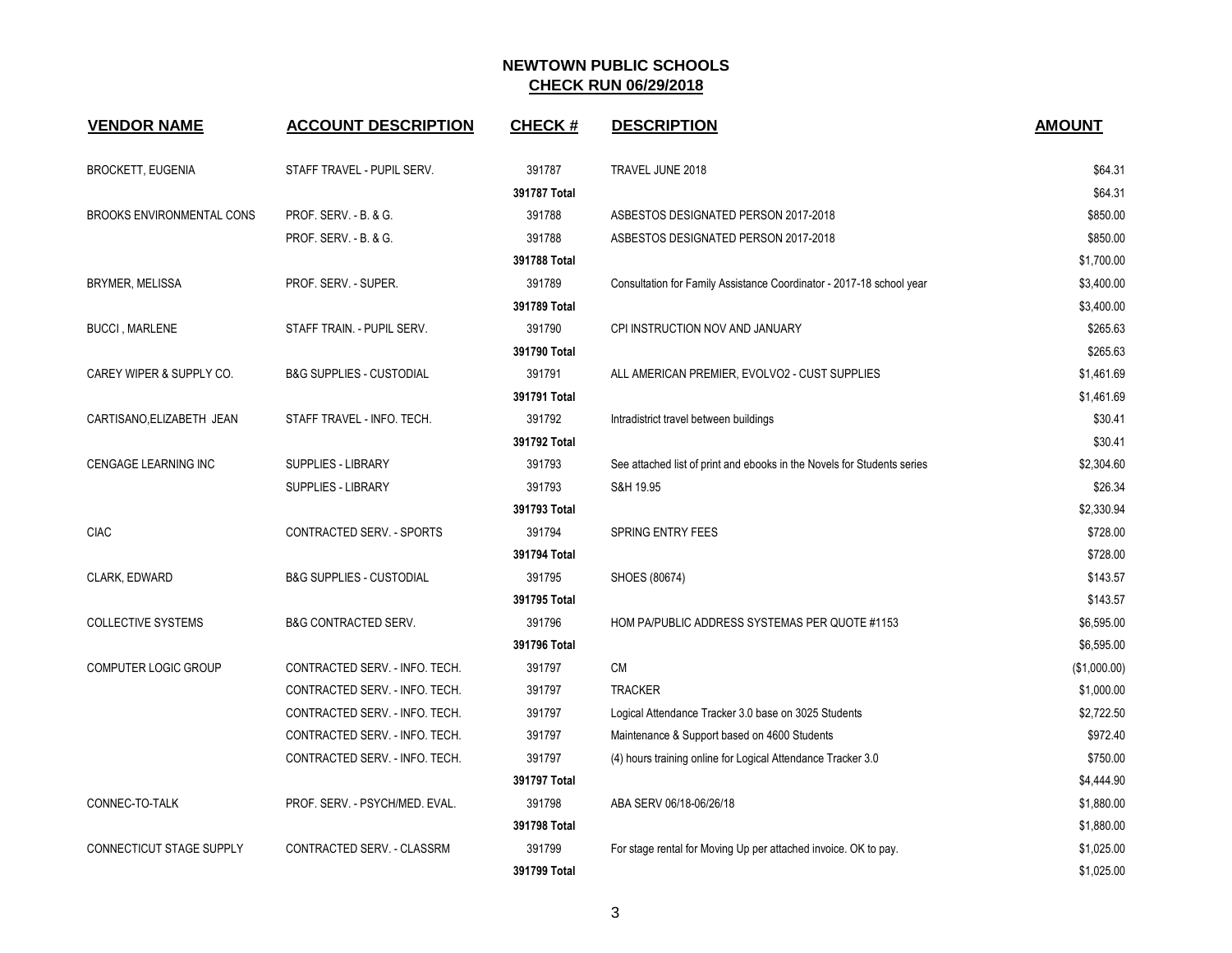| <b>VENDOR NAME</b>               | <b>ACCOUNT DESCRIPTION</b>          | <b>CHECK#</b> | <b>DESCRIPTION</b>                                                      | <b>AMOUNT</b> |
|----------------------------------|-------------------------------------|---------------|-------------------------------------------------------------------------|---------------|
| <b>BROCKETT, EUGENIA</b>         | STAFF TRAVEL - PUPIL SERV.          | 391787        | TRAVEL JUNE 2018                                                        | \$64.31       |
|                                  |                                     | 391787 Total  |                                                                         | \$64.31       |
| <b>BROOKS ENVIRONMENTAL CONS</b> | PROF. SERV. - B. & G.               | 391788        | ASBESTOS DESIGNATED PERSON 2017-2018                                    | \$850.00      |
|                                  | PROF. SERV. - B. & G.               | 391788        | ASBESTOS DESIGNATED PERSON 2017-2018                                    | \$850.00      |
|                                  |                                     | 391788 Total  |                                                                         | \$1,700.00    |
| <b>BRYMER, MELISSA</b>           | PROF. SERV. - SUPER.                | 391789        | Consultation for Family Assistance Coordinator - 2017-18 school year    | \$3,400.00    |
|                                  |                                     | 391789 Total  |                                                                         | \$3,400.00    |
| <b>BUCCI, MARLENE</b>            | STAFF TRAIN. - PUPIL SERV.          | 391790        | CPI INSTRUCTION NOV AND JANUARY                                         | \$265.63      |
|                                  |                                     | 391790 Total  |                                                                         | \$265.63      |
| CAREY WIPER & SUPPLY CO.         | <b>B&amp;G SUPPLIES - CUSTODIAL</b> | 391791        | ALL AMERICAN PREMIER, EVOLVO2 - CUST SUPPLIES                           | \$1,461.69    |
|                                  |                                     | 391791 Total  |                                                                         | \$1,461.69    |
| CARTISANO, ELIZABETH JEAN        | STAFF TRAVEL - INFO. TECH.          | 391792        | Intradistrict travel between buildings                                  | \$30.41       |
|                                  |                                     | 391792 Total  |                                                                         | \$30.41       |
| CENGAGE LEARNING INC             | SUPPLIES - LIBRARY                  | 391793        | See attached list of print and ebooks in the Novels for Students series | \$2,304.60    |
|                                  | SUPPLIES - LIBRARY                  | 391793        | S&H 19.95                                                               | \$26.34       |
|                                  |                                     | 391793 Total  |                                                                         | \$2,330.94    |
| <b>CIAC</b>                      | CONTRACTED SERV. - SPORTS           | 391794        | <b>SPRING ENTRY FEES</b>                                                | \$728.00      |
|                                  |                                     | 391794 Total  |                                                                         | \$728.00      |
| CLARK, EDWARD                    | <b>B&amp;G SUPPLIES - CUSTODIAL</b> | 391795        | SHOES (80674)                                                           | \$143.57      |
|                                  |                                     | 391795 Total  |                                                                         | \$143.57      |
| <b>COLLECTIVE SYSTEMS</b>        | <b>B&amp;G CONTRACTED SERV.</b>     | 391796        | HOM PA/PUBLIC ADDRESS SYSTEMAS PER QUOTE #1153                          | \$6,595.00    |
|                                  |                                     | 391796 Total  |                                                                         | \$6,595.00    |
| COMPUTER LOGIC GROUP             | CONTRACTED SERV. - INFO. TECH.      | 391797        | <b>CM</b>                                                               | (\$1,000.00)  |
|                                  | CONTRACTED SERV. - INFO. TECH.      | 391797        | <b>TRACKER</b>                                                          | \$1,000.00    |
|                                  | CONTRACTED SERV. - INFO. TECH.      | 391797        | Logical Attendance Tracker 3.0 base on 3025 Students                    | \$2,722.50    |
|                                  | CONTRACTED SERV. - INFO. TECH.      | 391797        | Maintenance & Support based on 4600 Students                            | \$972.40      |
|                                  | CONTRACTED SERV. - INFO. TECH.      | 391797        | (4) hours training online for Logical Attendance Tracker 3.0            | \$750.00      |
|                                  |                                     | 391797 Total  |                                                                         | \$4,444.90    |
| CONNEC-TO-TALK                   | PROF. SERV. - PSYCH/MED. EVAL.      | 391798        | ABA SERV 06/18-06/26/18                                                 | \$1,880.00    |
|                                  |                                     | 391798 Total  |                                                                         | \$1,880.00    |
| CONNECTICUT STAGE SUPPLY         | CONTRACTED SERV. - CLASSRM          | 391799        | For stage rental for Moving Up per attached invoice. OK to pay.         | \$1,025.00    |
|                                  |                                     | 391799 Total  |                                                                         | \$1,025.00    |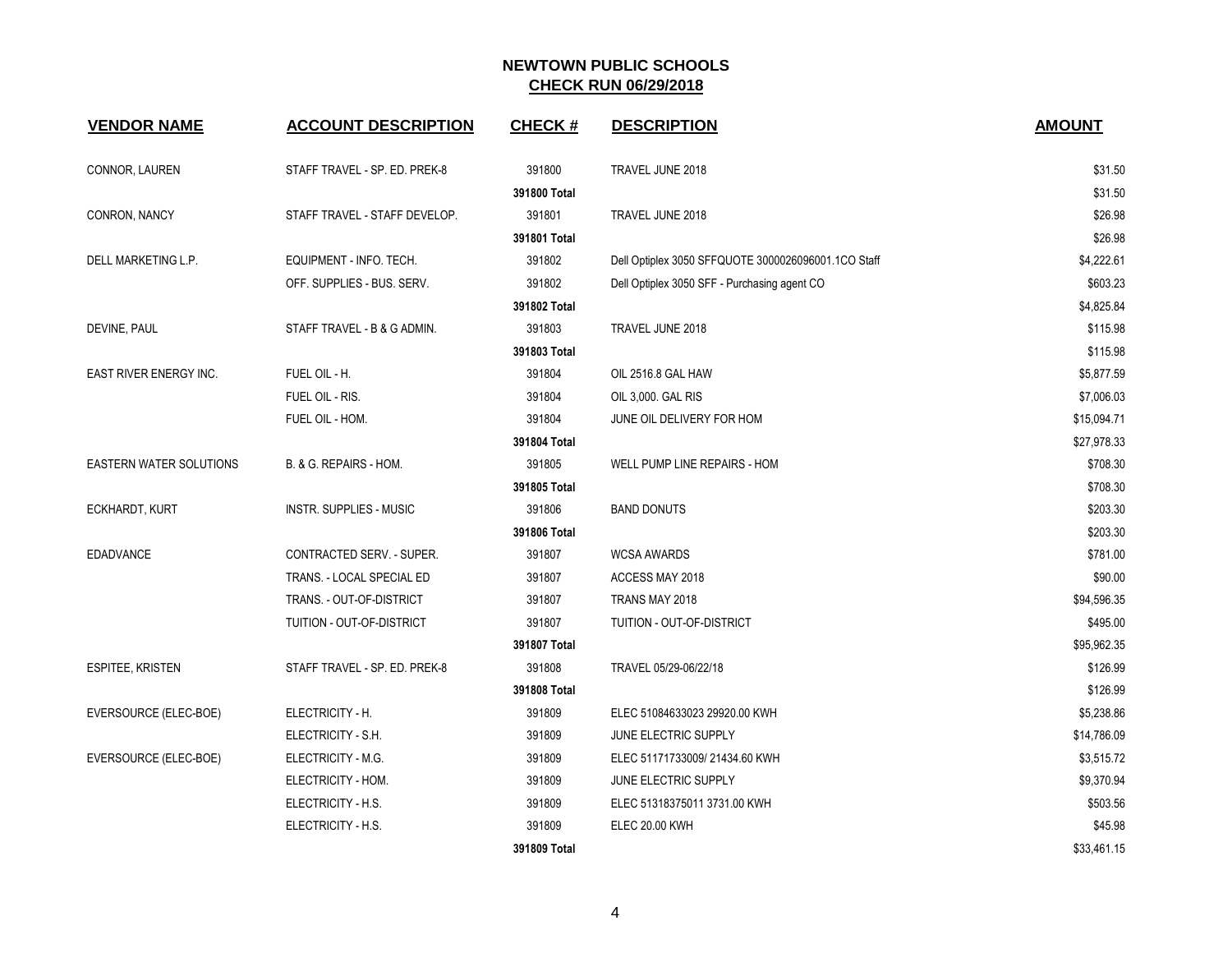| <b>VENDOR NAME</b>             | <b>ACCOUNT DESCRIPTION</b>     | <b>CHECK#</b> | <b>DESCRIPTION</b>                                  | <b>AMOUNT</b> |
|--------------------------------|--------------------------------|---------------|-----------------------------------------------------|---------------|
| CONNOR, LAUREN                 | STAFF TRAVEL - SP. ED. PREK-8  | 391800        | TRAVEL JUNE 2018                                    | \$31.50       |
|                                |                                | 391800 Total  |                                                     | \$31.50       |
| CONRON, NANCY                  | STAFF TRAVEL - STAFF DEVELOP.  | 391801        | TRAVEL JUNE 2018                                    | \$26.98       |
|                                |                                | 391801 Total  |                                                     | \$26.98       |
| DELL MARKETING L.P.            | EQUIPMENT - INFO. TECH.        | 391802        | Dell Optiplex 3050 SFFQUOTE 3000026096001.1CO Staff | \$4,222.61    |
|                                | OFF. SUPPLIES - BUS. SERV.     | 391802        | Dell Optiplex 3050 SFF - Purchasing agent CO        | \$603.23      |
|                                |                                | 391802 Total  |                                                     | \$4,825.84    |
| DEVINE, PAUL                   | STAFF TRAVEL - B & G ADMIN.    | 391803        | TRAVEL JUNE 2018                                    | \$115.98      |
|                                |                                | 391803 Total  |                                                     | \$115.98      |
| EAST RIVER ENERGY INC.         | FUEL OIL - H.                  | 391804        | OIL 2516.8 GAL HAW                                  | \$5,877.59    |
|                                | FUEL OIL - RIS.                | 391804        | OIL 3,000. GAL RIS                                  | \$7,006.03    |
|                                | FUEL OIL - HOM.                | 391804        | JUNE OIL DELIVERY FOR HOM                           | \$15,094.71   |
|                                |                                | 391804 Total  |                                                     | \$27,978.33   |
| <b>EASTERN WATER SOLUTIONS</b> | B. & G. REPAIRS - HOM.         | 391805        | WELL PUMP LINE REPAIRS - HOM                        | \$708.30      |
|                                |                                | 391805 Total  |                                                     | \$708.30      |
| ECKHARDT, KURT                 | <b>INSTR. SUPPLIES - MUSIC</b> | 391806        | <b>BAND DONUTS</b>                                  | \$203.30      |
|                                |                                | 391806 Total  |                                                     | \$203.30      |
| <b>EDADVANCE</b>               | CONTRACTED SERV. - SUPER.      | 391807        | <b>WCSA AWARDS</b>                                  | \$781.00      |
|                                | TRANS. - LOCAL SPECIAL ED      | 391807        | ACCESS MAY 2018                                     | \$90.00       |
|                                | TRANS. - OUT-OF-DISTRICT       | 391807        | TRANS MAY 2018                                      | \$94,596.35   |
|                                | TUITION - OUT-OF-DISTRICT      | 391807        | TUITION - OUT-OF-DISTRICT                           | \$495.00      |
|                                |                                | 391807 Total  |                                                     | \$95,962.35   |
| ESPITEE, KRISTEN               | STAFF TRAVEL - SP. ED. PREK-8  | 391808        | TRAVEL 05/29-06/22/18                               | \$126.99      |
|                                |                                | 391808 Total  |                                                     | \$126.99      |
| EVERSOURCE (ELEC-BOE)          | ELECTRICITY - H.               | 391809        | ELEC 51084633023 29920.00 KWH                       | \$5,238.86    |
|                                | ELECTRICITY - S.H.             | 391809        | JUNE ELECTRIC SUPPLY                                | \$14,786.09   |
| EVERSOURCE (ELEC-BOE)          | ELECTRICITY - M.G.             | 391809        | ELEC 51171733009/21434.60 KWH                       | \$3,515.72    |
|                                | ELECTRICITY - HOM.             | 391809        | JUNE ELECTRIC SUPPLY                                | \$9,370.94    |
|                                | ELECTRICITY - H.S.             | 391809        | ELEC 51318375011 3731.00 KWH                        | \$503.56      |
|                                | ELECTRICITY - H.S.             | 391809        | <b>ELEC 20.00 KWH</b>                               | \$45.98       |
|                                |                                | 391809 Total  |                                                     | \$33,461.15   |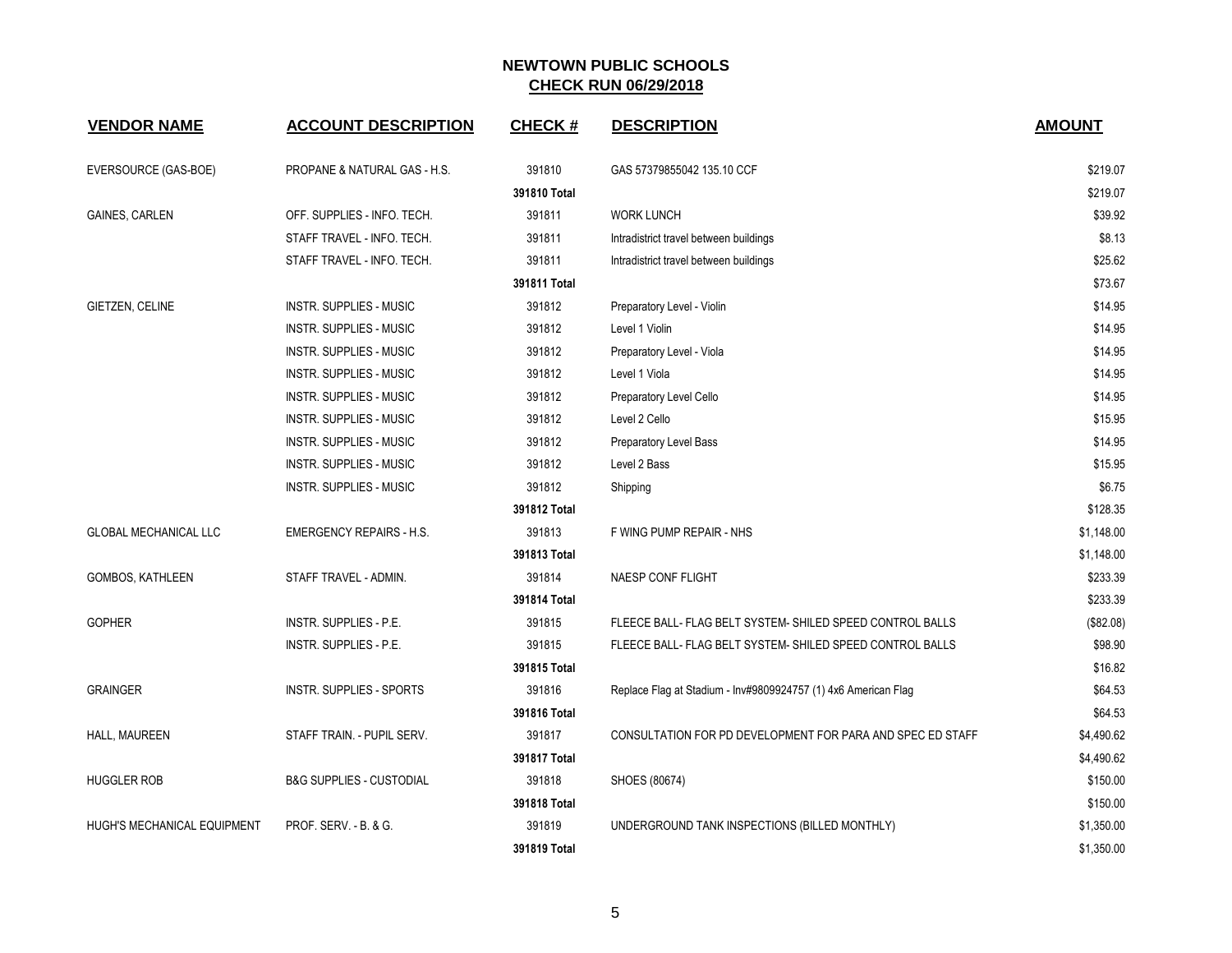| <b>VENDOR NAME</b>           | <b>ACCOUNT DESCRIPTION</b>          | <b>CHECK#</b> | <b>DESCRIPTION</b>                                             | <b>AMOUNT</b> |
|------------------------------|-------------------------------------|---------------|----------------------------------------------------------------|---------------|
| EVERSOURCE (GAS-BOE)         | PROPANE & NATURAL GAS - H.S.        | 391810        | GAS 57379855042 135.10 CCF                                     | \$219.07      |
|                              |                                     | 391810 Total  |                                                                | \$219.07      |
| <b>GAINES, CARLEN</b>        | OFF. SUPPLIES - INFO. TECH.         | 391811        | <b>WORK LUNCH</b>                                              | \$39.92       |
|                              | STAFF TRAVEL - INFO. TECH.          | 391811        | Intradistrict travel between buildings                         | \$8.13        |
|                              | STAFF TRAVEL - INFO. TECH.          | 391811        | Intradistrict travel between buildings                         | \$25.62       |
|                              |                                     | 391811 Total  |                                                                | \$73.67       |
| GIETZEN, CELINE              | <b>INSTR. SUPPLIES - MUSIC</b>      | 391812        | Preparatory Level - Violin                                     | \$14.95       |
|                              | <b>INSTR. SUPPLIES - MUSIC</b>      | 391812        | Level 1 Violin                                                 | \$14.95       |
|                              | <b>INSTR. SUPPLIES - MUSIC</b>      | 391812        | Preparatory Level - Viola                                      | \$14.95       |
|                              | <b>INSTR. SUPPLIES - MUSIC</b>      | 391812        | Level 1 Viola                                                  | \$14.95       |
|                              | <b>INSTR. SUPPLIES - MUSIC</b>      | 391812        | Preparatory Level Cello                                        | \$14.95       |
|                              | <b>INSTR. SUPPLIES - MUSIC</b>      | 391812        | Level 2 Cello                                                  | \$15.95       |
|                              | <b>INSTR. SUPPLIES - MUSIC</b>      | 391812        | <b>Preparatory Level Bass</b>                                  | \$14.95       |
|                              | <b>INSTR. SUPPLIES - MUSIC</b>      | 391812        | Level 2 Bass                                                   | \$15.95       |
|                              | INSTR. SUPPLIES - MUSIC             | 391812        | Shipping                                                       | \$6.75        |
|                              |                                     | 391812 Total  |                                                                | \$128.35      |
| <b>GLOBAL MECHANICAL LLC</b> | <b>EMERGENCY REPAIRS - H.S.</b>     | 391813        | F WING PUMP REPAIR - NHS                                       | \$1,148.00    |
|                              |                                     | 391813 Total  |                                                                | \$1,148.00    |
| GOMBOS, KATHLEEN             | STAFF TRAVEL - ADMIN.               | 391814        | NAESP CONF FLIGHT                                              | \$233.39      |
|                              |                                     | 391814 Total  |                                                                | \$233.39      |
| <b>GOPHER</b>                | INSTR. SUPPLIES - P.E.              | 391815        | FLEECE BALL- FLAG BELT SYSTEM- SHILED SPEED CONTROL BALLS      | (\$82.08)     |
|                              | INSTR. SUPPLIES - P.E.              | 391815        | FLEECE BALL- FLAG BELT SYSTEM- SHILED SPEED CONTROL BALLS      | \$98.90       |
|                              |                                     | 391815 Total  |                                                                | \$16.82       |
| <b>GRAINGER</b>              | <b>INSTR. SUPPLIES - SPORTS</b>     | 391816        | Replace Flag at Stadium - Inv#9809924757 (1) 4x6 American Flag | \$64.53       |
|                              |                                     | 391816 Total  |                                                                | \$64.53       |
| HALL, MAUREEN                | STAFF TRAIN. - PUPIL SERV.          | 391817        | CONSULTATION FOR PD DEVELOPMENT FOR PARA AND SPEC ED STAFF     | \$4,490.62    |
|                              |                                     | 391817 Total  |                                                                | \$4,490.62    |
| <b>HUGGLER ROB</b>           | <b>B&amp;G SUPPLIES - CUSTODIAL</b> | 391818        | SHOES (80674)                                                  | \$150.00      |
|                              |                                     | 391818 Total  |                                                                | \$150.00      |
| HUGH'S MECHANICAL EQUIPMENT  | PROF. SERV. - B. & G.               | 391819        | UNDERGROUND TANK INSPECTIONS (BILLED MONTHLY)                  | \$1,350.00    |
|                              |                                     | 391819 Total  |                                                                | \$1,350.00    |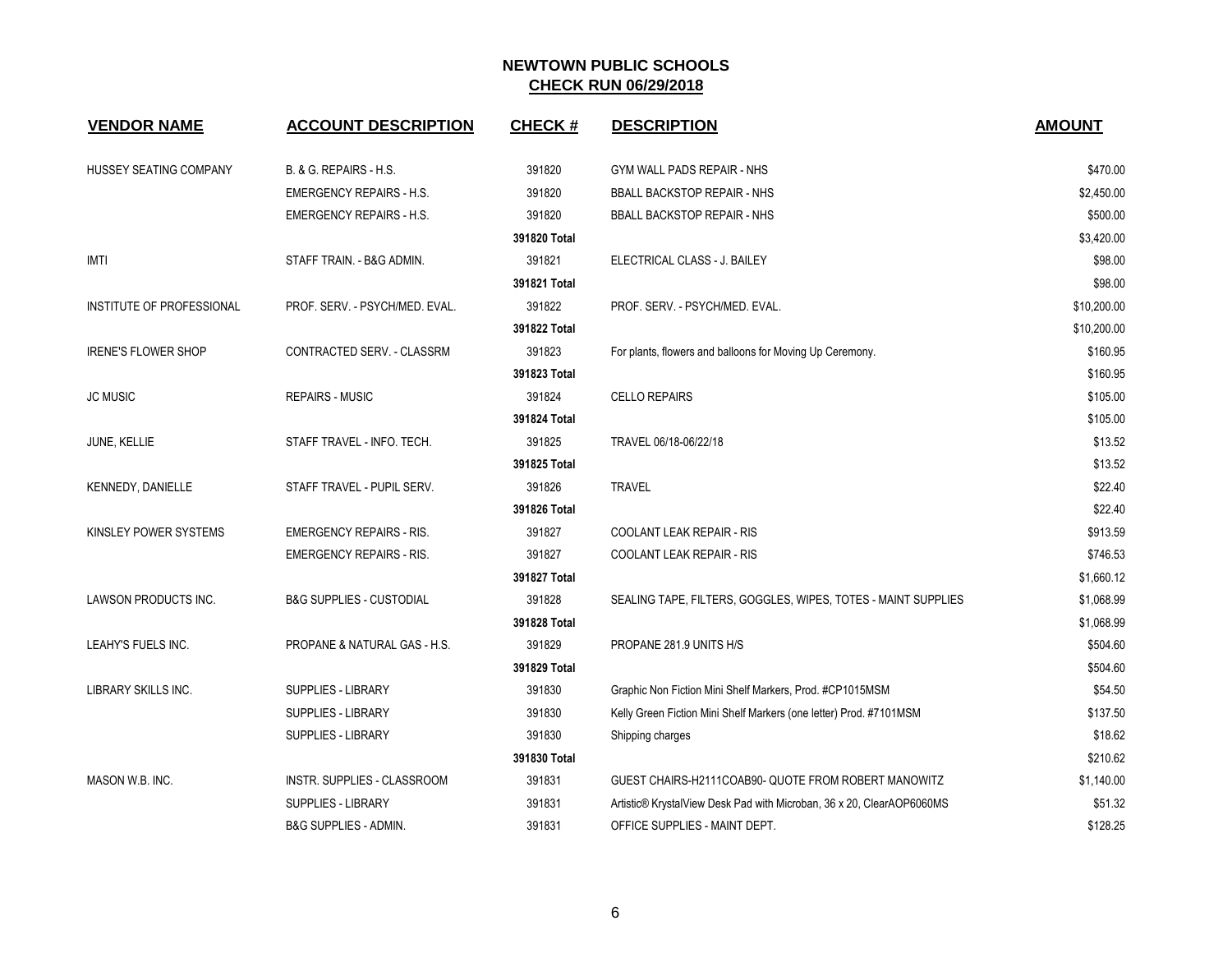| <b>VENDOR NAME</b>         | <b>ACCOUNT DESCRIPTION</b>          | <b>CHECK#</b> | <b>DESCRIPTION</b>                                                    | <b>AMOUNT</b> |
|----------------------------|-------------------------------------|---------------|-----------------------------------------------------------------------|---------------|
| HUSSEY SEATING COMPANY     | B. & G. REPAIRS - H.S.              | 391820        | GYM WALL PADS REPAIR - NHS                                            | \$470.00      |
|                            | <b>EMERGENCY REPAIRS - H.S.</b>     | 391820        | <b>BBALL BACKSTOP REPAIR - NHS</b>                                    | \$2,450.00    |
|                            | <b>EMERGENCY REPAIRS - H.S.</b>     | 391820        | <b>BBALL BACKSTOP REPAIR - NHS</b>                                    | \$500.00      |
|                            |                                     | 391820 Total  |                                                                       | \$3,420.00    |
| IMTI                       | STAFF TRAIN. - B&G ADMIN.           | 391821        | ELECTRICAL CLASS - J. BAILEY                                          | \$98.00       |
|                            |                                     | 391821 Total  |                                                                       | \$98.00       |
| INSTITUTE OF PROFESSIONAL  | PROF. SERV. - PSYCH/MED. EVAL.      | 391822        | PROF. SERV. - PSYCH/MED. EVAL.                                        | \$10,200.00   |
|                            |                                     | 391822 Total  |                                                                       | \$10,200.00   |
| <b>IRENE'S FLOWER SHOP</b> | CONTRACTED SERV. - CLASSRM          | 391823        | For plants, flowers and balloons for Moving Up Ceremony.              | \$160.95      |
|                            |                                     | 391823 Total  |                                                                       | \$160.95      |
| <b>JC MUSIC</b>            | <b>REPAIRS - MUSIC</b>              | 391824        | <b>CELLO REPAIRS</b>                                                  | \$105.00      |
|                            |                                     | 391824 Total  |                                                                       | \$105.00      |
| JUNE, KELLIE               | STAFF TRAVEL - INFO. TECH.          | 391825        | TRAVEL 06/18-06/22/18                                                 | \$13.52       |
|                            |                                     | 391825 Total  |                                                                       | \$13.52       |
| KENNEDY, DANIELLE          | STAFF TRAVEL - PUPIL SERV.          | 391826        | <b>TRAVEL</b>                                                         | \$22.40       |
|                            |                                     | 391826 Total  |                                                                       | \$22.40       |
| KINSLEY POWER SYSTEMS      | <b>EMERGENCY REPAIRS - RIS.</b>     | 391827        | COOLANT LEAK REPAIR - RIS                                             | \$913.59      |
|                            | <b>EMERGENCY REPAIRS - RIS.</b>     | 391827        | COOLANT LEAK REPAIR - RIS                                             | \$746.53      |
|                            |                                     | 391827 Total  |                                                                       | \$1,660.12    |
| LAWSON PRODUCTS INC.       | <b>B&amp;G SUPPLIES - CUSTODIAL</b> | 391828        | SEALING TAPE, FILTERS, GOGGLES, WIPES, TOTES - MAINT SUPPLIES         | \$1,068.99    |
|                            |                                     | 391828 Total  |                                                                       | \$1,068.99    |
| LEAHY'S FUELS INC.         | PROPANE & NATURAL GAS - H.S.        | 391829        | PROPANE 281.9 UNITS H/S                                               | \$504.60      |
|                            |                                     | 391829 Total  |                                                                       | \$504.60      |
| LIBRARY SKILLS INC.        | SUPPLIES - LIBRARY                  | 391830        | Graphic Non Fiction Mini Shelf Markers, Prod. #CP1015MSM              | \$54.50       |
|                            | SUPPLIES - LIBRARY                  | 391830        | Kelly Green Fiction Mini Shelf Markers (one letter) Prod. #7101MSM    | \$137.50      |
|                            | SUPPLIES - LIBRARY                  | 391830        | Shipping charges                                                      | \$18.62       |
|                            |                                     | 391830 Total  |                                                                       | \$210.62      |
| MASON W.B. INC.            | INSTR. SUPPLIES - CLASSROOM         | 391831        | GUEST CHAIRS-H2111COAB90- QUOTE FROM ROBERT MANOWITZ                  | \$1,140.00    |
|                            | <b>SUPPLIES - LIBRARY</b>           | 391831        | Artistic® KrystalView Desk Pad with Microban, 36 x 20, ClearAOP6060MS | \$51.32       |
|                            | B&G SUPPLIES - ADMIN.               | 391831        | OFFICE SUPPLIES - MAINT DEPT.                                         | \$128.25      |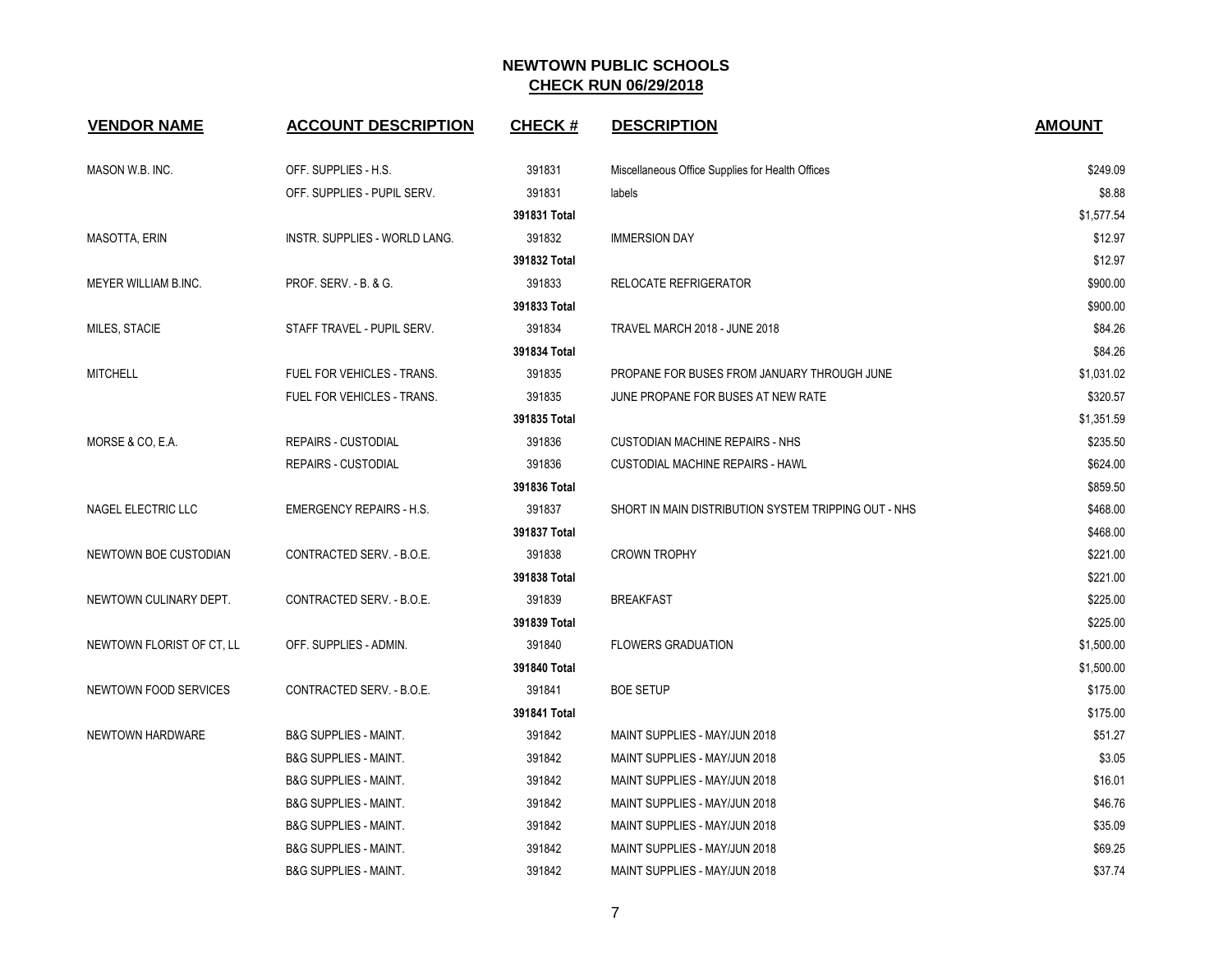| <b>VENDOR NAME</b>        | <b>ACCOUNT DESCRIPTION</b>       | <b>CHECK#</b> | <b>DESCRIPTION</b>                                   | <b>AMOUNT</b> |
|---------------------------|----------------------------------|---------------|------------------------------------------------------|---------------|
| MASON W.B. INC.           | OFF. SUPPLIES - H.S.             | 391831        | Miscellaneous Office Supplies for Health Offices     | \$249.09      |
|                           | OFF. SUPPLIES - PUPIL SERV.      | 391831        | labels                                               | \$8.88        |
|                           |                                  | 391831 Total  |                                                      | \$1,577.54    |
| MASOTTA, ERIN             | INSTR. SUPPLIES - WORLD LANG.    | 391832        | <b>IMMERSION DAY</b>                                 | \$12.97       |
|                           |                                  | 391832 Total  |                                                      | \$12.97       |
| MEYER WILLIAM B.INC.      | <b>PROF. SERV. - B. &amp; G.</b> | 391833        | RELOCATE REFRIGERATOR                                | \$900.00      |
|                           |                                  | 391833 Total  |                                                      | \$900.00      |
| MILES, STACIE             | STAFF TRAVEL - PUPIL SERV.       | 391834        | <b>TRAVEL MARCH 2018 - JUNE 2018</b>                 | \$84.26       |
|                           |                                  | 391834 Total  |                                                      | \$84.26       |
| <b>MITCHELL</b>           | FUEL FOR VEHICLES - TRANS.       | 391835        | PROPANE FOR BUSES FROM JANUARY THROUGH JUNE          | \$1,031.02    |
|                           | FUEL FOR VEHICLES - TRANS.       | 391835        | JUNE PROPANE FOR BUSES AT NEW RATE                   | \$320.57      |
|                           |                                  | 391835 Total  |                                                      | \$1,351.59    |
| MORSE & CO, E.A.          | REPAIRS - CUSTODIAL              | 391836        | <b>CUSTODIAN MACHINE REPAIRS - NHS</b>               | \$235.50      |
|                           | <b>REPAIRS - CUSTODIAL</b>       | 391836        | <b>CUSTODIAL MACHINE REPAIRS - HAWL</b>              | \$624.00      |
|                           |                                  | 391836 Total  |                                                      | \$859.50      |
| NAGEL ELECTRIC LLC        | <b>EMERGENCY REPAIRS - H.S.</b>  | 391837        | SHORT IN MAIN DISTRIBUTION SYSTEM TRIPPING OUT - NHS | \$468.00      |
|                           |                                  | 391837 Total  |                                                      | \$468.00      |
| NEWTOWN BOE CUSTODIAN     | CONTRACTED SERV. - B.O.E.        | 391838        | <b>CROWN TROPHY</b>                                  | \$221.00      |
|                           |                                  | 391838 Total  |                                                      | \$221.00      |
| NEWTOWN CULINARY DEPT.    | CONTRACTED SERV. - B.O.E.        | 391839        | <b>BREAKFAST</b>                                     | \$225.00      |
|                           |                                  | 391839 Total  |                                                      | \$225.00      |
| NEWTOWN FLORIST OF CT. LL | OFF. SUPPLIES - ADMIN.           | 391840        | <b>FLOWERS GRADUATION</b>                            | \$1,500.00    |
|                           |                                  | 391840 Total  |                                                      | \$1,500.00    |
| NEWTOWN FOOD SERVICES     | CONTRACTED SERV. - B.O.E.        | 391841        | <b>BOE SETUP</b>                                     | \$175.00      |
|                           |                                  | 391841 Total  |                                                      | \$175.00      |
| NEWTOWN HARDWARE          | <b>B&amp;G SUPPLIES - MAINT.</b> | 391842        | MAINT SUPPLIES - MAY/JUN 2018                        | \$51.27       |
|                           | <b>B&amp;G SUPPLIES - MAINT.</b> | 391842        | MAINT SUPPLIES - MAY/JUN 2018                        | \$3.05        |
|                           | <b>B&amp;G SUPPLIES - MAINT.</b> | 391842        | MAINT SUPPLIES - MAY/JUN 2018                        | \$16.01       |
|                           | <b>B&amp;G SUPPLIES - MAINT.</b> | 391842        | MAINT SUPPLIES - MAY/JUN 2018                        | \$46.76       |
|                           | <b>B&amp;G SUPPLIES - MAINT.</b> | 391842        | MAINT SUPPLIES - MAY/JUN 2018                        | \$35.09       |
|                           | <b>B&amp;G SUPPLIES - MAINT.</b> | 391842        | MAINT SUPPLIES - MAY/JUN 2018                        | \$69.25       |
|                           | <b>B&amp;G SUPPLIES - MAINT.</b> | 391842        | MAINT SUPPLIES - MAY/JUN 2018                        | \$37.74       |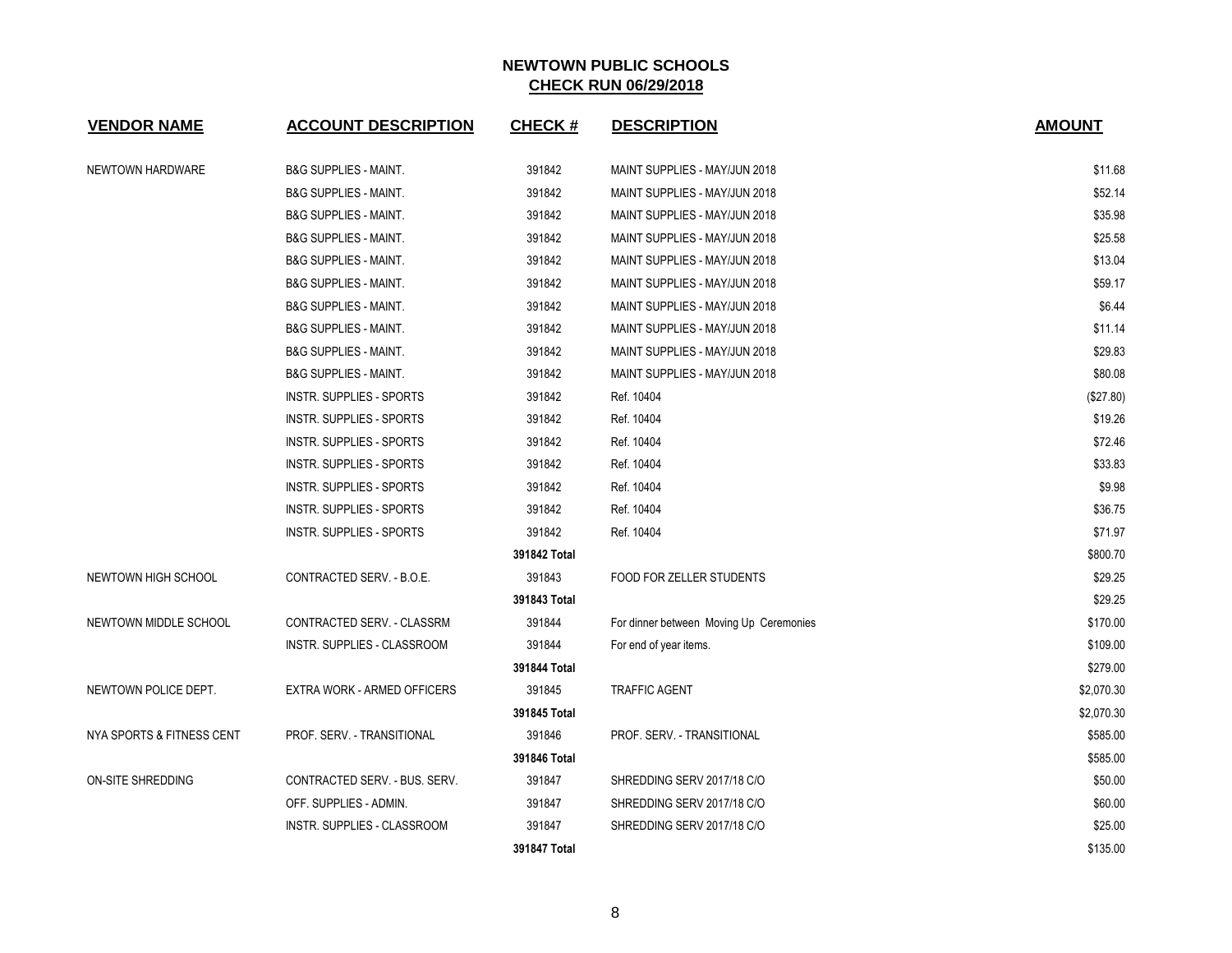| <b>VENDOR NAME</b>        | <b>ACCOUNT DESCRIPTION</b>         | <b>CHECK#</b> | <b>DESCRIPTION</b>                      | <b>AMOUNT</b> |
|---------------------------|------------------------------------|---------------|-----------------------------------------|---------------|
| NEWTOWN HARDWARE          | <b>B&amp;G SUPPLIES - MAINT.</b>   | 391842        | MAINT SUPPLIES - MAY/JUN 2018           | \$11.68       |
|                           | <b>B&amp;G SUPPLIES - MAINT.</b>   | 391842        | MAINT SUPPLIES - MAY/JUN 2018           | \$52.14       |
|                           | <b>B&amp;G SUPPLIES - MAINT.</b>   | 391842        | MAINT SUPPLIES - MAY/JUN 2018           | \$35.98       |
|                           | <b>B&amp;G SUPPLIES - MAINT.</b>   | 391842        | MAINT SUPPLIES - MAY/JUN 2018           | \$25.58       |
|                           | <b>B&amp;G SUPPLIES - MAINT.</b>   | 391842        | MAINT SUPPLIES - MAY/JUN 2018           | \$13.04       |
|                           | <b>B&amp;G SUPPLIES - MAINT.</b>   | 391842        | MAINT SUPPLIES - MAY/JUN 2018           | \$59.17       |
|                           | <b>B&amp;G SUPPLIES - MAINT.</b>   | 391842        | MAINT SUPPLIES - MAY/JUN 2018           | \$6.44        |
|                           | <b>B&amp;G SUPPLIES - MAINT.</b>   | 391842        | MAINT SUPPLIES - MAY/JUN 2018           | \$11.14       |
|                           | <b>B&amp;G SUPPLIES - MAINT.</b>   | 391842        | MAINT SUPPLIES - MAY/JUN 2018           | \$29.83       |
|                           | <b>B&amp;G SUPPLIES - MAINT.</b>   | 391842        | MAINT SUPPLIES - MAY/JUN 2018           | \$80.08       |
|                           | INSTR. SUPPLIES - SPORTS           | 391842        | Ref. 10404                              | (\$27.80)     |
|                           | <b>INSTR. SUPPLIES - SPORTS</b>    | 391842        | Ref. 10404                              | \$19.26       |
|                           | <b>INSTR. SUPPLIES - SPORTS</b>    | 391842        | Ref. 10404                              | \$72.46       |
|                           | <b>INSTR. SUPPLIES - SPORTS</b>    | 391842        | Ref. 10404                              | \$33.83       |
|                           | INSTR. SUPPLIES - SPORTS           | 391842        | Ref. 10404                              | \$9.98        |
|                           | <b>INSTR. SUPPLIES - SPORTS</b>    | 391842        | Ref. 10404                              | \$36.75       |
|                           | <b>INSTR. SUPPLIES - SPORTS</b>    | 391842        | Ref. 10404                              | \$71.97       |
|                           |                                    | 391842 Total  |                                         | \$800.70      |
| NEWTOWN HIGH SCHOOL       | CONTRACTED SERV. - B.O.E.          | 391843        | FOOD FOR ZELLER STUDENTS                | \$29.25       |
|                           |                                    | 391843 Total  |                                         | \$29.25       |
| NEWTOWN MIDDLE SCHOOL     | CONTRACTED SERV. - CLASSRM         | 391844        | For dinner between Moving Up Ceremonies | \$170.00      |
|                           | <b>INSTR. SUPPLIES - CLASSROOM</b> | 391844        | For end of year items.                  | \$109.00      |
|                           |                                    | 391844 Total  |                                         | \$279.00      |
| NEWTOWN POLICE DEPT.      | EXTRA WORK - ARMED OFFICERS        | 391845        | <b>TRAFFIC AGENT</b>                    | \$2,070.30    |
|                           |                                    | 391845 Total  |                                         | \$2,070.30    |
| NYA SPORTS & FITNESS CENT | PROF. SERV. - TRANSITIONAL         | 391846        | PROF. SERV. - TRANSITIONAL              | \$585.00      |
|                           |                                    | 391846 Total  |                                         | \$585.00      |
| ON-SITE SHREDDING         | CONTRACTED SERV. - BUS. SERV.      | 391847        | SHREDDING SERV 2017/18 C/O              | \$50.00       |
|                           | OFF. SUPPLIES - ADMIN.             | 391847        | SHREDDING SERV 2017/18 C/O              | \$60.00       |
|                           | <b>INSTR. SUPPLIES - CLASSROOM</b> | 391847        | SHREDDING SERV 2017/18 C/O              | \$25.00       |
|                           |                                    | 391847 Total  |                                         | \$135.00      |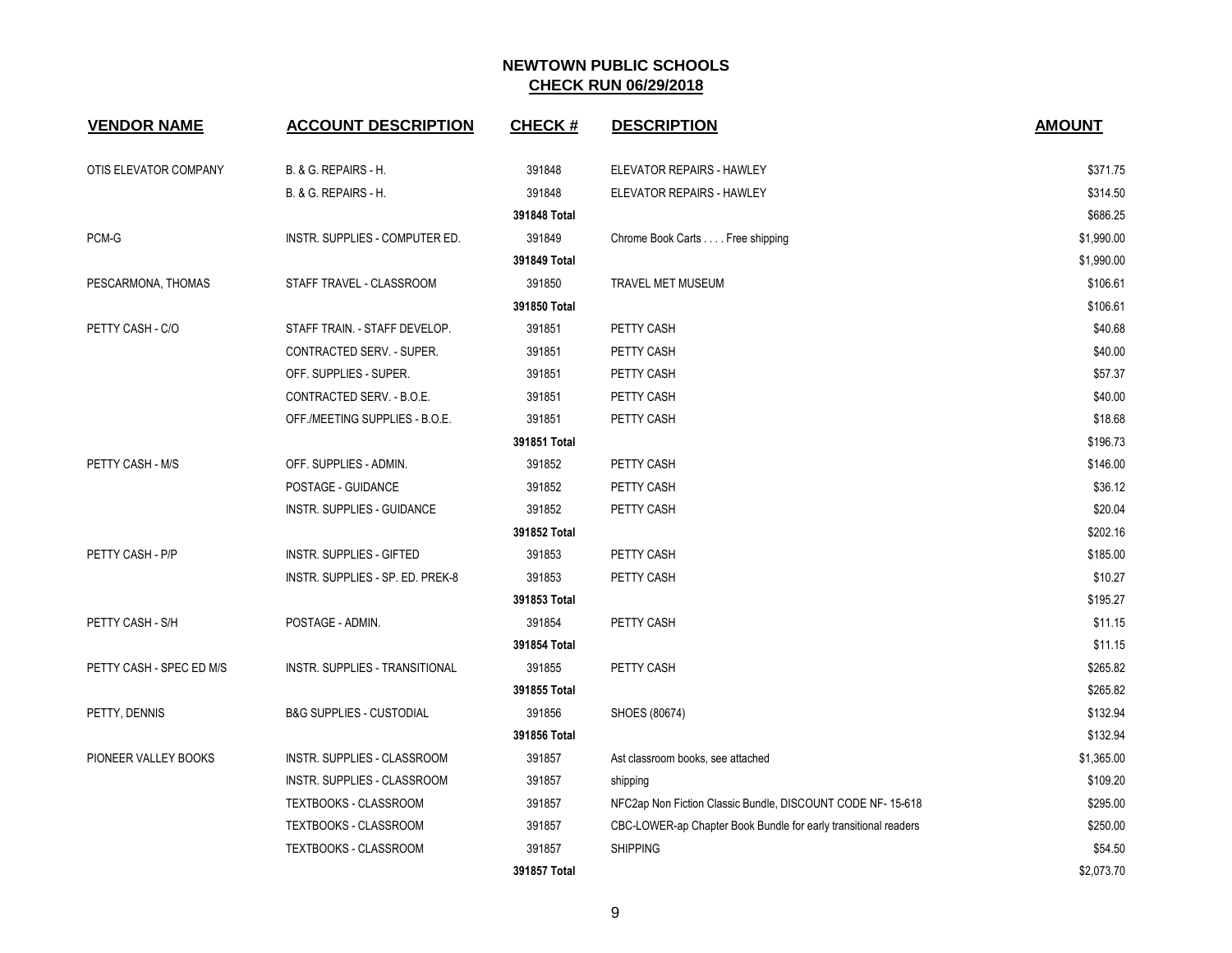| <b>VENDOR NAME</b>       | <b>ACCOUNT DESCRIPTION</b>          | <b>CHECK#</b> | <b>DESCRIPTION</b>                                              | <b>AMOUNT</b> |
|--------------------------|-------------------------------------|---------------|-----------------------------------------------------------------|---------------|
| OTIS ELEVATOR COMPANY    | B. & G. REPAIRS - H.                | 391848        | ELEVATOR REPAIRS - HAWLEY                                       | \$371.75      |
|                          | B. & G. REPAIRS - H.                | 391848        | ELEVATOR REPAIRS - HAWLEY                                       | \$314.50      |
|                          |                                     | 391848 Total  |                                                                 | \$686.25      |
| PCM-G                    | INSTR. SUPPLIES - COMPUTER ED.      | 391849        | Chrome Book Carts Free shipping                                 | \$1,990.00    |
|                          |                                     | 391849 Total  |                                                                 | \$1,990.00    |
| PESCARMONA, THOMAS       | STAFF TRAVEL - CLASSROOM            | 391850        | <b>TRAVEL MET MUSEUM</b>                                        | \$106.61      |
|                          |                                     | 391850 Total  |                                                                 | \$106.61      |
| PETTY CASH - C/O         | STAFF TRAIN. - STAFF DEVELOP.       | 391851        | PETTY CASH                                                      | \$40.68       |
|                          | CONTRACTED SERV. - SUPER.           | 391851        | PETTY CASH                                                      | \$40.00       |
|                          | OFF. SUPPLIES - SUPER.              | 391851        | PETTY CASH                                                      | \$57.37       |
|                          | CONTRACTED SERV. - B.O.E.           | 391851        | PETTY CASH                                                      | \$40.00       |
|                          | OFF /MEETING SUPPLIES - B.O.E.      | 391851        | PETTY CASH                                                      | \$18.68       |
|                          |                                     | 391851 Total  |                                                                 | \$196.73      |
| PETTY CASH - M/S         | OFF. SUPPLIES - ADMIN.              | 391852        | PETTY CASH                                                      | \$146.00      |
|                          | POSTAGE - GUIDANCE                  | 391852        | PETTY CASH                                                      | \$36.12       |
|                          | INSTR. SUPPLIES - GUIDANCE          | 391852        | PETTY CASH                                                      | \$20.04       |
|                          |                                     | 391852 Total  |                                                                 | \$202.16      |
| PETTY CASH - P/P         | <b>INSTR. SUPPLIES - GIFTED</b>     | 391853        | PETTY CASH                                                      | \$185.00      |
|                          | INSTR. SUPPLIES - SP. ED. PREK-8    | 391853        | PETTY CASH                                                      | \$10.27       |
|                          |                                     | 391853 Total  |                                                                 | \$195.27      |
| PETTY CASH - S/H         | POSTAGE - ADMIN.                    | 391854        | PETTY CASH                                                      | \$11.15       |
|                          |                                     | 391854 Total  |                                                                 | \$11.15       |
| PETTY CASH - SPEC ED M/S | INSTR. SUPPLIES - TRANSITIONAL      | 391855        | PETTY CASH                                                      | \$265.82      |
|                          |                                     | 391855 Total  |                                                                 | \$265.82      |
| PETTY, DENNIS            | <b>B&amp;G SUPPLIES - CUSTODIAL</b> | 391856        | SHOES (80674)                                                   | \$132.94      |
|                          |                                     | 391856 Total  |                                                                 | \$132.94      |
| PIONEER VALLEY BOOKS     | INSTR. SUPPLIES - CLASSROOM         | 391857        | Ast classroom books, see attached                               | \$1,365.00    |
|                          | INSTR. SUPPLIES - CLASSROOM         | 391857        | shipping                                                        | \$109.20      |
|                          | TEXTBOOKS - CLASSROOM               | 391857        | NFC2ap Non Fiction Classic Bundle, DISCOUNT CODE NF- 15-618     | \$295.00      |
|                          | TEXTBOOKS - CLASSROOM               | 391857        | CBC-LOWER-ap Chapter Book Bundle for early transitional readers | \$250.00      |
|                          | TEXTBOOKS - CLASSROOM               | 391857        | <b>SHIPPING</b>                                                 | \$54.50       |
|                          |                                     | 391857 Total  |                                                                 | \$2,073.70    |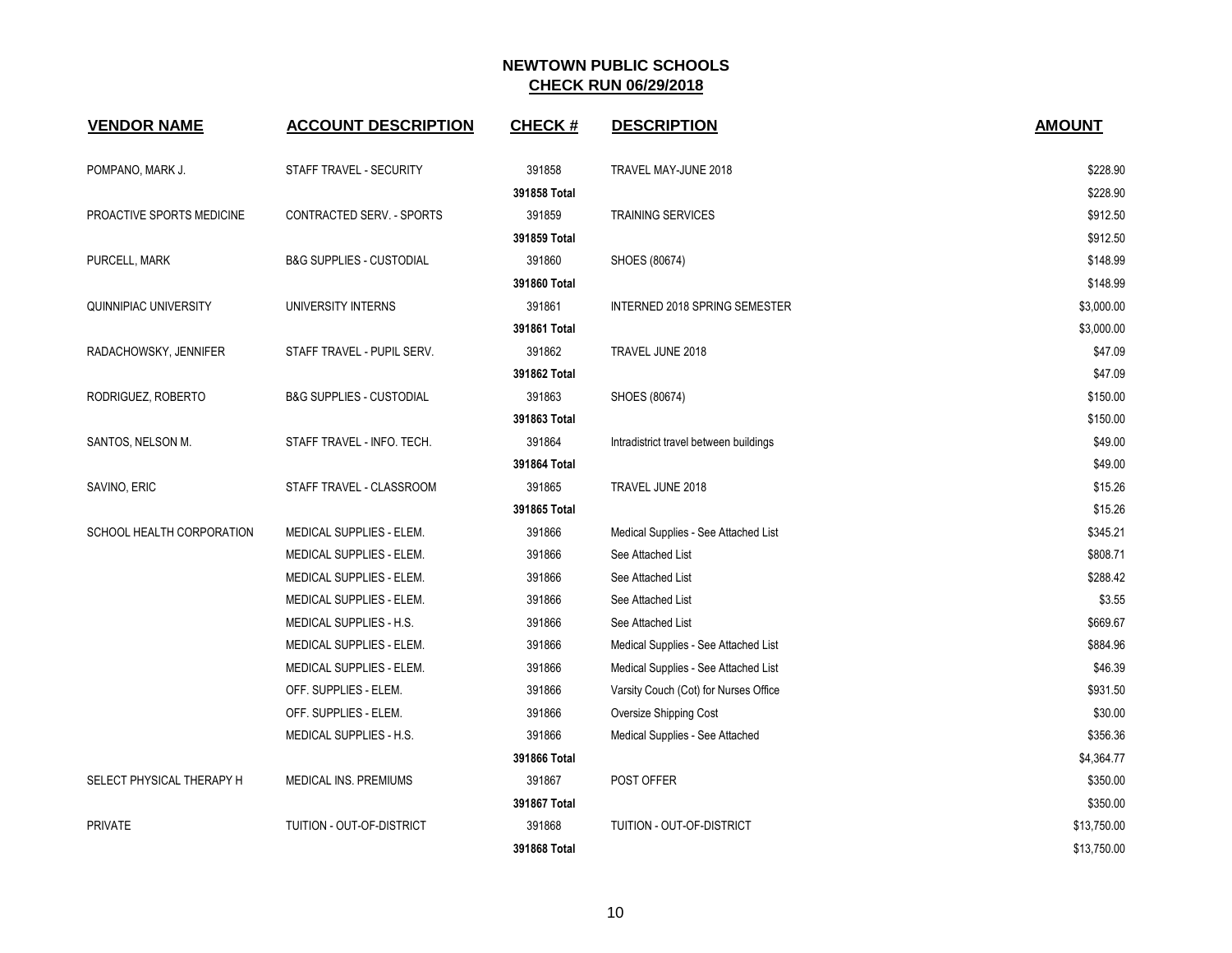| <b>VENDOR NAME</b>           | <b>ACCOUNT DESCRIPTION</b>          | <b>CHECK#</b> | <b>DESCRIPTION</b>                     | <b>AMOUNT</b> |
|------------------------------|-------------------------------------|---------------|----------------------------------------|---------------|
| POMPANO, MARK J.             | STAFF TRAVEL - SECURITY             | 391858        | TRAVEL MAY-JUNE 2018                   | \$228.90      |
|                              |                                     | 391858 Total  |                                        | \$228.90      |
| PROACTIVE SPORTS MEDICINE    | CONTRACTED SERV. - SPORTS           | 391859        | <b>TRAINING SERVICES</b>               | \$912.50      |
|                              |                                     | 391859 Total  |                                        | \$912.50      |
| PURCELL, MARK                | <b>B&amp;G SUPPLIES - CUSTODIAL</b> | 391860        | SHOES (80674)                          | \$148.99      |
|                              |                                     | 391860 Total  |                                        | \$148.99      |
| <b>QUINNIPIAC UNIVERSITY</b> | UNIVERSITY INTERNS                  | 391861        | <b>INTERNED 2018 SPRING SEMESTER</b>   | \$3,000.00    |
|                              |                                     | 391861 Total  |                                        | \$3,000.00    |
| RADACHOWSKY, JENNIFER        | STAFF TRAVEL - PUPIL SERV.          | 391862        | TRAVEL JUNE 2018                       | \$47.09       |
|                              |                                     | 391862 Total  |                                        | \$47.09       |
| RODRIGUEZ, ROBERTO           | <b>B&amp;G SUPPLIES - CUSTODIAL</b> | 391863        | SHOES (80674)                          | \$150.00      |
|                              |                                     | 391863 Total  |                                        | \$150.00      |
| SANTOS, NELSON M.            | STAFF TRAVEL - INFO. TECH.          | 391864        | Intradistrict travel between buildings | \$49.00       |
|                              |                                     | 391864 Total  |                                        | \$49.00       |
| SAVINO, ERIC                 | STAFF TRAVEL - CLASSROOM            | 391865        | TRAVEL JUNE 2018                       | \$15.26       |
|                              |                                     | 391865 Total  |                                        | \$15.26       |
| SCHOOL HEALTH CORPORATION    | MEDICAL SUPPLIES - ELEM.            | 391866        | Medical Supplies - See Attached List   | \$345.21      |
|                              | MEDICAL SUPPLIES - ELEM.            | 391866        | See Attached List                      | \$808.71      |
|                              | MEDICAL SUPPLIES - ELEM.            | 391866        | See Attached List                      | \$288.42      |
|                              | MEDICAL SUPPLIES - ELEM.            | 391866        | See Attached List                      | \$3.55        |
|                              | MEDICAL SUPPLIES - H.S.             | 391866        | See Attached List                      | \$669.67      |
|                              | MEDICAL SUPPLIES - ELEM.            | 391866        | Medical Supplies - See Attached List   | \$884.96      |
|                              | MEDICAL SUPPLIES - ELEM.            | 391866        | Medical Supplies - See Attached List   | \$46.39       |
|                              | OFF. SUPPLIES - ELEM.               | 391866        | Varsity Couch (Cot) for Nurses Office  | \$931.50      |
|                              | OFF. SUPPLIES - ELEM.               | 391866        | Oversize Shipping Cost                 | \$30.00       |
|                              | MEDICAL SUPPLIES - H.S.             | 391866        | Medical Supplies - See Attached        | \$356.36      |
|                              |                                     | 391866 Total  |                                        | \$4,364.77    |
| SELECT PHYSICAL THERAPY H    | MEDICAL INS. PREMIUMS               | 391867        | POST OFFER                             | \$350.00      |
|                              |                                     | 391867 Total  |                                        | \$350.00      |
| <b>PRIVATE</b>               | TUITION - OUT-OF-DISTRICT           | 391868        | TUITION - OUT-OF-DISTRICT              | \$13,750.00   |
|                              |                                     | 391868 Total  |                                        | \$13,750.00   |